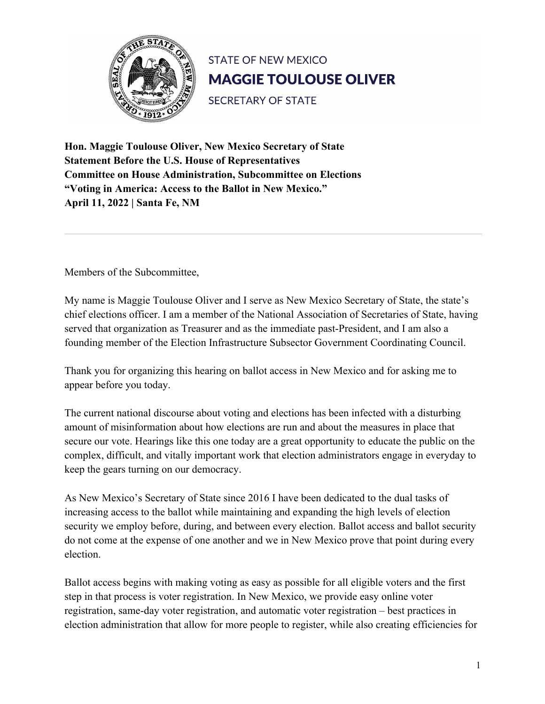

**Hon. Maggie Toulouse Oliver, New Mexico Secretary of State Statement Before the U.S. House of Representatives Committee on House Administration, Subcommittee on Elections "Voting in America: Access to the Ballot in New Mexico." April 11, 2022 | Santa Fe, NM**

Members of the Subcommittee,

My name is Maggie Toulouse Oliver and I serve as New Mexico Secretary of State, the state's chief elections officer. I am a member of the National Association of Secretaries of State, having served that organization as Treasurer and as the immediate past-President, and I am also a founding member of the Election Infrastructure Subsector Government Coordinating Council.

Thank you for organizing this hearing on ballot access in New Mexico and for asking me to appear before you today.

The current national discourse about voting and elections has been infected with a disturbing amount of misinformation about how elections are run and about the measures in place that secure our vote. Hearings like this one today are a great opportunity to educate the public on the complex, difficult, and vitally important work that election administrators engage in everyday to keep the gears turning on our democracy.

As New Mexico's Secretary of State since 2016 I have been dedicated to the dual tasks of increasing access to the ballot while maintaining and expanding the high levels of election security we employ before, during, and between every election. Ballot access and ballot security do not come at the expense of one another and we in New Mexico prove that point during every election.

Ballot access begins with making voting as easy as possible for all eligible voters and the first step in that process is voter registration. In New Mexico, we provide easy online voter registration, same-day voter registration, and automatic voter registration – best practices in election administration that allow for more people to register, while also creating efficiencies for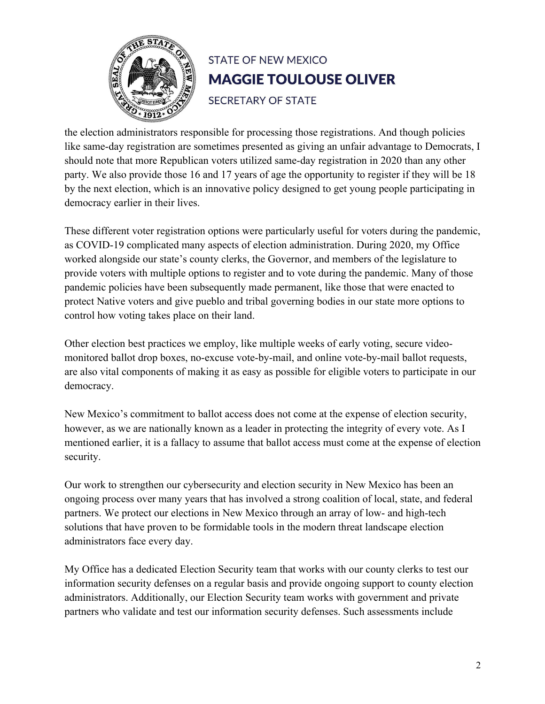

the election administrators responsible for processing those registrations. And though policies like same-day registration are sometimes presented as giving an unfair advantage to Democrats, I should note that more Republican voters utilized same-day registration in 2020 than any other party. We also provide those 16 and 17 years of age the opportunity to register if they will be 18 by the next election, which is an innovative policy designed to get young people participating in democracy earlier in their lives.

These different voter registration options were particularly useful for voters during the pandemic, as COVID-19 complicated many aspects of election administration. During 2020, my Office worked alongside our state's county clerks, the Governor, and members of the legislature to provide voters with multiple options to register and to vote during the pandemic. Many of those pandemic policies have been subsequently made permanent, like those that were enacted to protect Native voters and give pueblo and tribal governing bodies in our state more options to control how voting takes place on their land.

Other election best practices we employ, like multiple weeks of early voting, secure videomonitored ballot drop boxes, no-excuse vote-by-mail, and online vote-by-mail ballot requests, are also vital components of making it as easy as possible for eligible voters to participate in our democracy.

New Mexico's commitment to ballot access does not come at the expense of election security, however, as we are nationally known as a leader in protecting the integrity of every vote. As I mentioned earlier, it is a fallacy to assume that ballot access must come at the expense of election security.

Our work to strengthen our cybersecurity and election security in New Mexico has been an ongoing process over many years that has involved a strong coalition of local, state, and federal partners. We protect our elections in New Mexico through an array of low- and high-tech solutions that have proven to be formidable tools in the modern threat landscape election administrators face every day.

My Office has a dedicated Election Security team that works with our county clerks to test our information security defenses on a regular basis and provide ongoing support to county election administrators. Additionally, our Election Security team works with government and private partners who validate and test our information security defenses. Such assessments include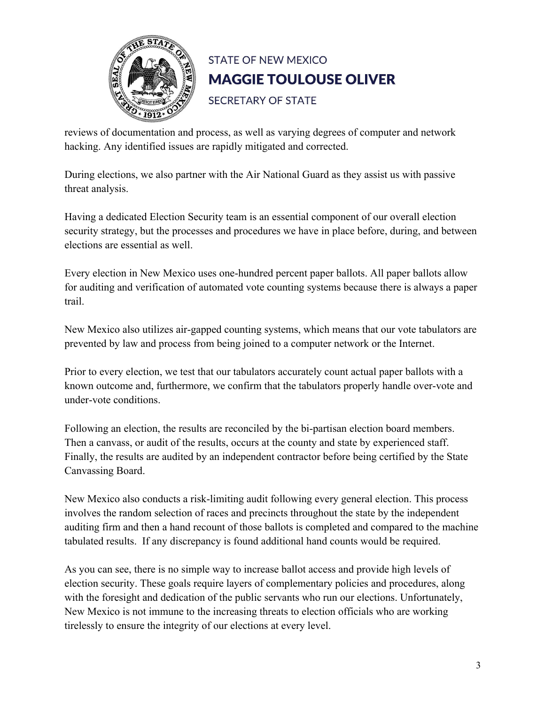

reviews of documentation and process, as well as varying degrees of computer and network hacking. Any identified issues are rapidly mitigated and corrected.

During elections, we also partner with the Air National Guard as they assist us with passive threat analysis.

Having a dedicated Election Security team is an essential component of our overall election security strategy, but the processes and procedures we have in place before, during, and between elections are essential as well.

Every election in New Mexico uses one-hundred percent paper ballots. All paper ballots allow for auditing and verification of automated vote counting systems because there is always a paper trail.

New Mexico also utilizes air-gapped counting systems, which means that our vote tabulators are prevented by law and process from being joined to a computer network or the Internet.

Prior to every election, we test that our tabulators accurately count actual paper ballots with a known outcome and, furthermore, we confirm that the tabulators properly handle over-vote and under-vote conditions.

Following an election, the results are reconciled by the bi-partisan election board members. Then a canvass, or audit of the results, occurs at the county and state by experienced staff. Finally, the results are audited by an independent contractor before being certified by the State Canvassing Board.

New Mexico also conducts a risk-limiting audit following every general election. This process involves the random selection of races and precincts throughout the state by the independent auditing firm and then a hand recount of those ballots is completed and compared to the machine tabulated results. If any discrepancy is found additional hand counts would be required.

As you can see, there is no simple way to increase ballot access and provide high levels of election security. These goals require layers of complementary policies and procedures, along with the foresight and dedication of the public servants who run our elections. Unfortunately, New Mexico is not immune to the increasing threats to election officials who are working tirelessly to ensure the integrity of our elections at every level.